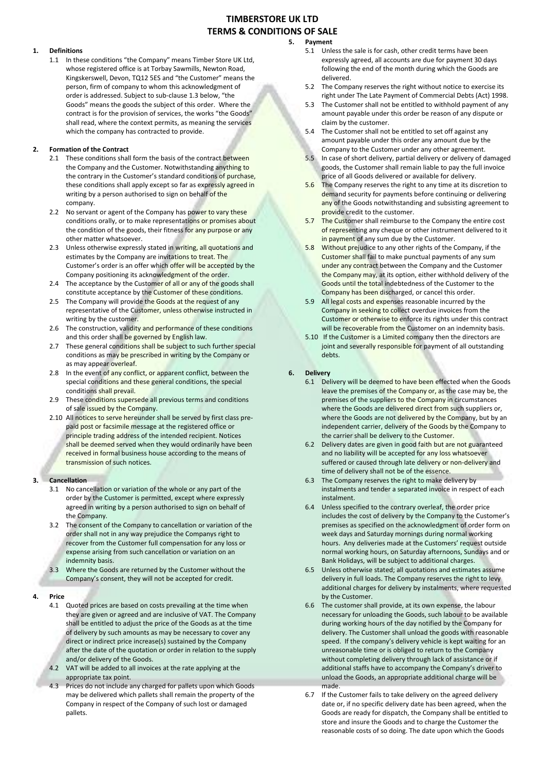# **TIMBERSTORE UK LTD TERMS & CONDITIONS OF SALE**

#### **1. Definitions**

1.1 In these conditions "the Company" means Timber Store UK Ltd, whose registered office is at Torbay Sawmills, Newton Road, Kingskerswell, Devon, TQ12 5ES and "the Customer" means the person, firm of company to whom this acknowledgment of order is addressed. Subject to sub-clause 1.3 below, "the Goods" means the goods the subject of this order. Where the contract is for the provision of services, the works "the Goods" shall read, where the context permits, as meaning the services which the company has contracted to provide.

#### **2. Formation of the Contract**

- 2.1 These conditions shall form the basis of the contract between the Company and the Customer. Notwithstanding anything to the contrary in the Customer's standard conditions of purchase, these conditions shall apply except so far as expressly agreed in writing by a person authorised to sign on behalf of the company.
- 2.2 No servant or agent of the Company has power to vary these conditions orally, or to make representations or promises about the condition of the goods, their fitness for any purpose or any other matter whatsoever.
- 2.3 Unless otherwise expressly stated in writing, all quotations and estimates by the Company are invitations to treat. The Customer's order is an offer which offer will be accepted by the Company positioning its acknowledgment of the order.
- 2.4 The acceptance by the Customer of all or any of the goods shall constitute acceptance by the Customer of these conditions.
- 2.5 The Company will provide the Goods at the request of any representative of the Customer, unless otherwise instructed in writing by the customer.
- 2.6 The construction, validity and performance of these conditions and this order shall be governed by English law.
- 2.7 These general conditions shall be subject to such further special conditions as may be prescribed in writing by the Company or as may appear overleaf.
- 2.8 In the event of any conflict, or apparent conflict, between the special conditions and these general conditions, the special conditions shall prevail.
- 2.9 These conditions supersede all previous terms and conditions of sale issued by the Company.
- 2.10 All notices to serve hereunder shall be served by first class prepaid post or facsimile message at the registered office or principle trading address of the intended recipient. Notices shall be deemed served when they would ordinarily have been received in formal business house according to the means of transmission of such notices.

#### **3. Cancellation**

- 3.1 No cancellation or variation of the whole or any part of the order by the Customer is permitted, except where expressly agreed in writing by a person authorised to sign on behalf of the Company.
- 3.2 The consent of the Company to cancellation or variation of the order shall not in any way prejudice the Companys right to recover from the Customer full compensation for any loss or expense arising from such cancellation or variation on an indemnity basis.
- 3.3 Where the Goods are returned by the Customer without the Company's consent, they will not be accepted for credit.

#### **4. Price**

- 4.1 Quoted prices are based on costs prevailing at the time when they are given or agreed and are inclusive of VAT. The Company shall be entitled to adjust the price of the Goods as at the time of delivery by such amounts as may be necessary to cover any direct or indirect price increase(s) sustained by the Company after the date of the quotation or order in relation to the supply and/or delivery of the Goods.
- 4.2 VAT will be added to all invoices at the rate applying at the appropriate tax point.
- 4.3 Prices do not include any charged for pallets upon which Goods may be delivered which pallets shall remain the property of the Company in respect of the Company of such lost or damaged pallets.

# **5. Payment** 5.1 Unless the sale is for cash, other credit terms have been

- expressly agreed, all accounts are due for payment 30 days following the end of the month during which the Goods are delivered.
- 5.2 The Company reserves the right without notice to exercise its right under The Late Payment of Commercial Debts (Act) 1998.
- 5.3 The Customer shall not be entitled to withhold payment of any amount payable under this order be reason of any dispute or claim by the customer.
- 5.4 The Customer shall not be entitled to set off against any amount payable under this order any amount due by the Company to the Customer under any other agreement.
- 5.5 In case of short delivery, partial delivery or delivery of damaged goods, the Customer shall remain liable to pay the full invoice price of all Goods delivered or available for delivery.
- 5.6 The Company reserves the right to any time at its discretion to demand security for payments before continuing or delivering any of the Goods notwithstanding and subsisting agreement to provide credit to the customer.
- 5.7 The Customer shall reimburse to the Company the entire cost of representing any cheque or other instrument delivered to it in payment of any sum due by the Customer.
- 5.8 Without prejudice to any other rights of the Company, if the Customer shall fail to make punctual payments of any sum under any contract between the Company and the Customer the Company may, at its option, either withhold delivery of the Goods until the total indebtedness of the Customer to the Company has been discharged, or cancel this order.
- 5.9 All legal costs and expenses reasonable incurred by the Company in seeking to collect overdue invoices from the Customer or otherwise to enforce its rights under this contract will be recoverable from the Customer on an indemnity basis.
- 5.10 If the Customer is a Limited company then the directors are joint and severally responsible for payment of all outstanding debts.

#### **6. Delivery**

- 6.1 Delivery will be deemed to have been effected when the Goods leave the premises of the Company or, as the case may be, the premises of the suppliers to the Company in circumstances where the Goods are delivered direct from such suppliers or, where the Goods are not delivered by the Company, but by an independent carrier, delivery of the Goods by the Company to the carrier shall be delivery to the Customer.
- 6.2 Delivery dates are given in good faith but are not guaranteed and no liability will be accepted for any loss whatsoever suffered or caused through late delivery or non-delivery and time of delivery shall not be of the essence.
- 6.3 The Company reserves the right to make delivery by instalments and tender a separated invoice in respect of each instalment.
- 6.4 Unless specified to the contrary overleaf, the order price includes the cost of delivery by the Company to the Customer's premises as specified on the acknowledgment of order form on week days and Saturday mornings during normal working hours. Any deliveries made at the Customers' request outside normal working hours, on Saturday afternoons, Sundays and or Bank Holidays, will be subject to additional charges.
- 6.5 Unless otherwise stated; all quotations and estimates assume delivery in full loads. The Company reserves the right to levy additional charges for delivery by instalments, where requested by the Customer.
- 6.6 The customer shall provide, at its own expense, the labour necessary for unloading the Goods, such labour to be available during working hours of the day notified by the Company for delivery. The Customer shall unload the goods with reasonable speed. If the company's delivery vehicle is kept waiting for an unreasonable time or is obliged to return to the Company without completing delivery through lack of assistance or if additional staffs have to accompany the Company's driver to unload the Goods, an appropriate additional charge will be made.
- 6.7 If the Customer fails to take delivery on the agreed delivery date or, if no specific delivery date has been agreed, when the Goods are ready for dispatch, the Company shall be entitled to store and insure the Goods and to charge the Customer the reasonable costs of so doing. The date upon which the Goods